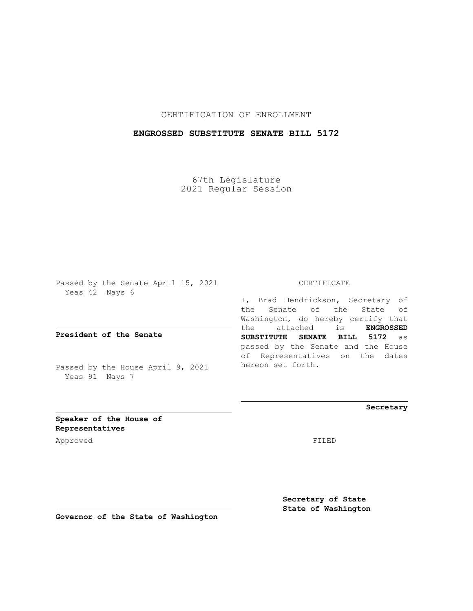CERTIFICATION OF ENROLLMENT

## **ENGROSSED SUBSTITUTE SENATE BILL 5172**

67th Legislature 2021 Regular Session

Passed by the Senate April 15, 2021 Yeas 42 Nays 6

**President of the Senate**

Passed by the House April 9, 2021 Yeas 91 Nays 7

CERTIFICATE

I, Brad Hendrickson, Secretary of the Senate of the State of Washington, do hereby certify that the attached is **ENGROSSED SUBSTITUTE SENATE BILL 5172** as passed by the Senate and the House of Representatives on the dates hereon set forth.

**Secretary**

**Speaker of the House of Representatives**

Approved FILED

**Secretary of State State of Washington**

**Governor of the State of Washington**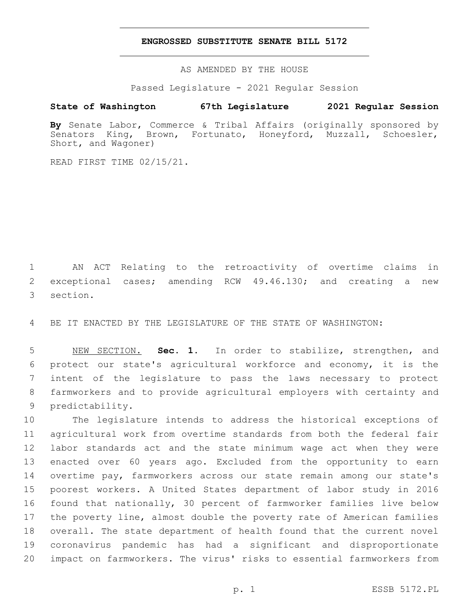## **ENGROSSED SUBSTITUTE SENATE BILL 5172**

AS AMENDED BY THE HOUSE

Passed Legislature - 2021 Regular Session

## **State of Washington 67th Legislature 2021 Regular Session**

By Senate Labor, Commerce & Tribal Affairs (originally sponsored by Senators King, Brown, Fortunato, Honeyford, Muzzall, Schoesler, Senators King, Brown, Fortunato, Honeyford, Short, and Wagoner)

READ FIRST TIME 02/15/21.

 AN ACT Relating to the retroactivity of overtime claims in exceptional cases; amending RCW 49.46.130; and creating a new 3 section.

BE IT ENACTED BY THE LEGISLATURE OF THE STATE OF WASHINGTON:

 NEW SECTION. **Sec. 1.** In order to stabilize, strengthen, and protect our state's agricultural workforce and economy, it is the intent of the legislature to pass the laws necessary to protect farmworkers and to provide agricultural employers with certainty and predictability.

 The legislature intends to address the historical exceptions of agricultural work from overtime standards from both the federal fair labor standards act and the state minimum wage act when they were enacted over 60 years ago. Excluded from the opportunity to earn overtime pay, farmworkers across our state remain among our state's poorest workers. A United States department of labor study in 2016 found that nationally, 30 percent of farmworker families live below the poverty line, almost double the poverty rate of American families overall. The state department of health found that the current novel coronavirus pandemic has had a significant and disproportionate impact on farmworkers. The virus' risks to essential farmworkers from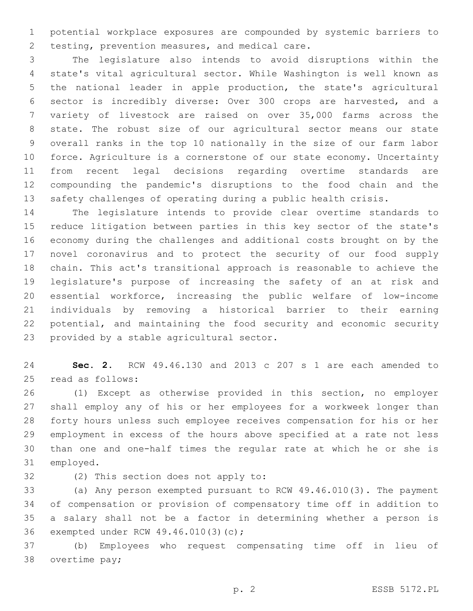potential workplace exposures are compounded by systemic barriers to 2 testing, prevention measures, and medical care.

 The legislature also intends to avoid disruptions within the state's vital agricultural sector. While Washington is well known as the national leader in apple production, the state's agricultural sector is incredibly diverse: Over 300 crops are harvested, and a variety of livestock are raised on over 35,000 farms across the state. The robust size of our agricultural sector means our state overall ranks in the top 10 nationally in the size of our farm labor force. Agriculture is a cornerstone of our state economy. Uncertainty from recent legal decisions regarding overtime standards are compounding the pandemic's disruptions to the food chain and the safety challenges of operating during a public health crisis.

 The legislature intends to provide clear overtime standards to reduce litigation between parties in this key sector of the state's economy during the challenges and additional costs brought on by the novel coronavirus and to protect the security of our food supply chain. This act's transitional approach is reasonable to achieve the legislature's purpose of increasing the safety of an at risk and essential workforce, increasing the public welfare of low-income individuals by removing a historical barrier to their earning potential, and maintaining the food security and economic security 23 provided by a stable agricultural sector.

 **Sec. 2.** RCW 49.46.130 and 2013 c 207 s 1 are each amended to 25 read as follows:

 (1) Except as otherwise provided in this section, no employer shall employ any of his or her employees for a workweek longer than forty hours unless such employee receives compensation for his or her employment in excess of the hours above specified at a rate not less than one and one-half times the regular rate at which he or she is 31 employed.

32 (2) This section does not apply to:

 (a) Any person exempted pursuant to RCW 49.46.010(3). The payment of compensation or provision of compensatory time off in addition to a salary shall not be a factor in determining whether a person is 36 exempted under RCW 49.46.010(3)(c);

 (b) Employees who request compensating time off in lieu of 38 overtime pay;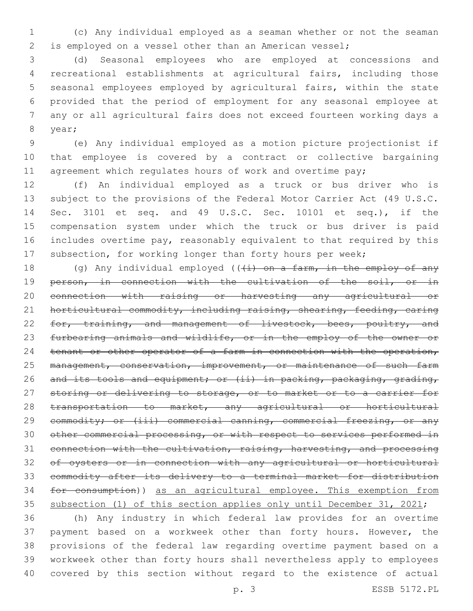(c) Any individual employed as a seaman whether or not the seaman is employed on a vessel other than an American vessel;

 (d) Seasonal employees who are employed at concessions and recreational establishments at agricultural fairs, including those seasonal employees employed by agricultural fairs, within the state provided that the period of employment for any seasonal employee at any or all agricultural fairs does not exceed fourteen working days a 8 year;

 (e) Any individual employed as a motion picture projectionist if that employee is covered by a contract or collective bargaining 11 agreement which regulates hours of work and overtime pay;

 (f) An individual employed as a truck or bus driver who is subject to the provisions of the Federal Motor Carrier Act (49 U.S.C. Sec. 3101 et seq. and 49 U.S.C. Sec. 10101 et seq.), if the compensation system under which the truck or bus driver is paid includes overtime pay, reasonably equivalent to that required by this subsection, for working longer than forty hours per week;

18 (g) Any individual employed  $((+i)$  on a farm, in the employ of any 19 person, in connection with the cultivation of the soil, or in connection with raising or harvesting any agricultural or horticultural commodity, including raising, shearing, feeding, caring 22 for, training, and management of livestock, bees, poultry, and 23 furbearing animals and wildlife, or in the employ of the owner or 24 tenant or other operator of a farm in connection with the operation, 25 management, conservation, improvement, or maintenance of such farm 26 and its tools and equipment; or (ii) in packing, packaging, grading, 27 storing or delivering to storage, or to market or to a carrier for 28 transportation to market, any agricultural or horticultural 29 commodity; or (iii) commercial canning, commercial freezing, or any other commercial processing, or with respect to services performed in connection with the cultivation, raising, harvesting, and processing of oysters or in connection with any agricultural or horticultural commodity after its delivery to a terminal market for distribution for consumption)) as an agricultural employee. This exemption from subsection (1) of this section applies only until December 31, 2021;

 (h) Any industry in which federal law provides for an overtime payment based on a workweek other than forty hours. However, the provisions of the federal law regarding overtime payment based on a workweek other than forty hours shall nevertheless apply to employees covered by this section without regard to the existence of actual

p. 3 ESSB 5172.PL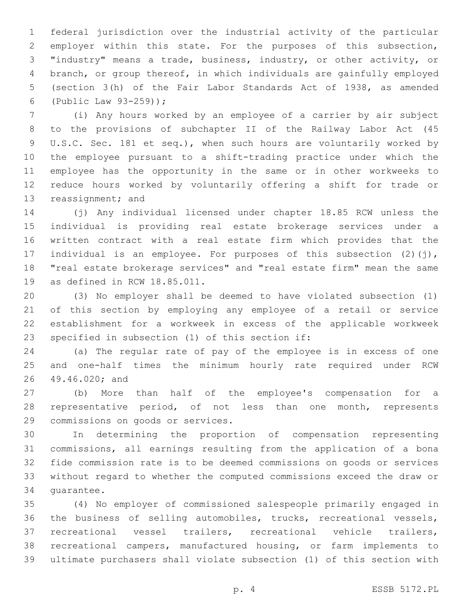federal jurisdiction over the industrial activity of the particular employer within this state. For the purposes of this subsection, "industry" means a trade, business, industry, or other activity, or branch, or group thereof, in which individuals are gainfully employed (section 3(h) of the Fair Labor Standards Act of 1938, as amended 6 (Public Law  $93-259$ );

 (i) Any hours worked by an employee of a carrier by air subject to the provisions of subchapter II of the Railway Labor Act (45 U.S.C. Sec. 181 et seq.), when such hours are voluntarily worked by the employee pursuant to a shift-trading practice under which the employee has the opportunity in the same or in other workweeks to reduce hours worked by voluntarily offering a shift for trade or 13 reassignment; and

 (j) Any individual licensed under chapter 18.85 RCW unless the individual is providing real estate brokerage services under a written contract with a real estate firm which provides that the 17 individual is an employee. For purposes of this subsection (2)(j), "real estate brokerage services" and "real estate firm" mean the same 19 as defined in RCW  $18.85.011$ .

 (3) No employer shall be deemed to have violated subsection (1) of this section by employing any employee of a retail or service establishment for a workweek in excess of the applicable workweek 23 specified in subsection (1) of this section if:

 (a) The regular rate of pay of the employee is in excess of one and one-half times the minimum hourly rate required under RCW 26 49.46.020; and

 (b) More than half of the employee's compensation for a 28 representative period, of not less than one month, represents 29 commissions on goods or services.

 In determining the proportion of compensation representing commissions, all earnings resulting from the application of a bona fide commission rate is to be deemed commissions on goods or services without regard to whether the computed commissions exceed the draw or 34 quarantee.

 (4) No employer of commissioned salespeople primarily engaged in the business of selling automobiles, trucks, recreational vessels, recreational vessel trailers, recreational vehicle trailers, recreational campers, manufactured housing, or farm implements to ultimate purchasers shall violate subsection (1) of this section with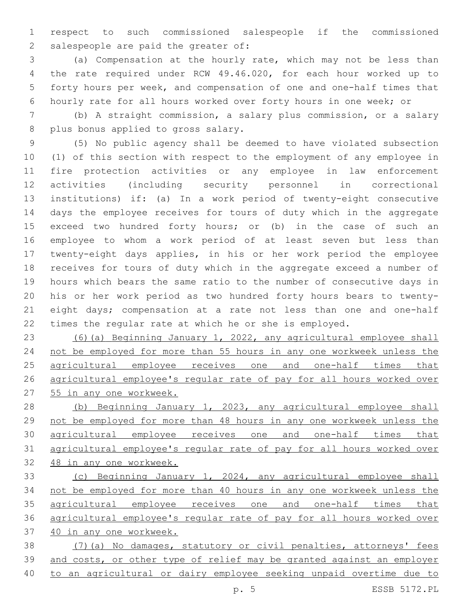respect to such commissioned salespeople if the commissioned 2 salespeople are paid the greater of:

 (a) Compensation at the hourly rate, which may not be less than the rate required under RCW 49.46.020, for each hour worked up to forty hours per week, and compensation of one and one-half times that hourly rate for all hours worked over forty hours in one week; or

 (b) A straight commission, a salary plus commission, or a salary 8 plus bonus applied to gross salary.

 (5) No public agency shall be deemed to have violated subsection (1) of this section with respect to the employment of any employee in fire protection activities or any employee in law enforcement activities (including security personnel in correctional institutions) if: (a) In a work period of twenty-eight consecutive days the employee receives for tours of duty which in the aggregate exceed two hundred forty hours; or (b) in the case of such an employee to whom a work period of at least seven but less than twenty-eight days applies, in his or her work period the employee receives for tours of duty which in the aggregate exceed a number of hours which bears the same ratio to the number of consecutive days in his or her work period as two hundred forty hours bears to twenty- eight days; compensation at a rate not less than one and one-half times the regular rate at which he or she is employed.

 (6)(a) Beginning January 1, 2022, any agricultural employee shall not be employed for more than 55 hours in any one workweek unless the 25 agricultural employee receives one and one-half times that agricultural employee's regular rate of pay for all hours worked over 55 in any one workweek.

 (b) Beginning January 1, 2023, any agricultural employee shall not be employed for more than 48 hours in any one workweek unless the agricultural employee receives one and one-half times that agricultural employee's regular rate of pay for all hours worked over 48 in any one workweek.

 (c) Beginning January 1, 2024, any agricultural employee shall not be employed for more than 40 hours in any one workweek unless the agricultural employee receives one and one-half times that agricultural employee's regular rate of pay for all hours worked over 40 in any one workweek.

 (7)(a) No damages, statutory or civil penalties, attorneys' fees and costs, or other type of relief may be granted against an employer to an agricultural or dairy employee seeking unpaid overtime due to